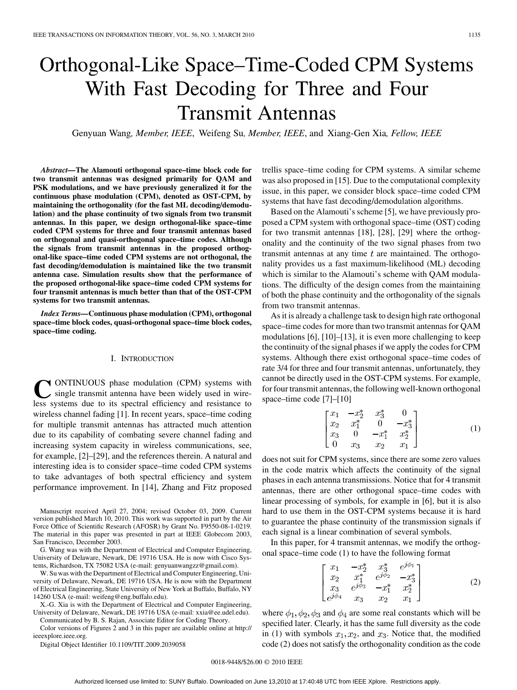# Orthogonal-Like Space–Time-Coded CPM Systems With Fast Decoding for Three and Four Transmit Antennas

Genyuan Wang*, Member, IEEE*, Weifeng Su*, Member, IEEE*, and Xiang-Gen Xia*, Fellow, IEEE*

*Abstract—***The Alamouti orthogonal space–time block code for two transmit antennas was designed primarily for QAM and PSK modulations, and we have previously generalized it for the continuous phase modulation (CPM), denoted as OST-CPM, by maintaining the orthogonality (for the fast ML decoding/demodulation) and the phase continuity of two signals from two transmit antennas. In this paper, we design orthogonal-like space–time coded CPM systems for three and four transmit antennas based on orthogonal and quasi-orthogonal space–time codes. Although the signals from transmit antennas in the proposed orthogonal-like space–time coded CPM systems are not orthogonal, the fast decoding/demodulation is maintained like the two transmit antenna case. Simulation results show that the performance of the proposed orthogonal-like space–time coded CPM systems for four transmit antennas is much better than that of the OST-CPM systems for two transmit antennas.**

*Index Terms—***Continuous phase modulation (CPM), orthogonal space–time block codes, quasi-orthogonal space–time block codes, space–time coding.**

#### I. INTRODUCTION

**Y** ONTINUOUS phase modulation (CPM) systems with single transmit antenna have been widely used in wireless systems due to its spectral efficiency and resistance to wireless channel fading [1]. In recent years, space–time coding for multiple transmit antennas has attracted much attention due to its capability of combating severe channel fading and increasing system capacity in wireless communications, see, for example, [2]–[29], and the references therein. A natural and interesting idea is to consider space–time coded CPM systems to take advantages of both spectral efficiency and system performance improvement. In [14], Zhang and Fitz proposed

Manuscript received April 27, 2004; revised October 03, 2009. Current version published March 10, 2010. This work was supported in part by the Air Force Office of Scientific Research (AFOSR) by Grant No. F9550-08-1-0219. The material in this paper was presented in part at IEEE Globecom 2003, San Francisco, December 2003.

G. Wang was with the Department of Electrical and Computer Engineering, University of Delaware, Newark, DE 19716 USA. He is now with Cisco Systems, Richardson, TX 75082 USA (e-mail: genyuanwangzz@gmail.com).

W. Su was with the Department of Electrical and Computer Engineering, University of Delaware, Newark, DE 19716 USA. He is now with the Department of Electrical Engineering, State University of New York at Buffalo, Buffalo, NY 14260 USA (e-mail: weifeng@eng.buffalo.edu).

X.-G. Xia is with the Department of Electrical and Computer Engineering, University of Delaware, Newark, DE 19716 USA (e-mail: xxia@ee.udel.edu).

Communicated by B. S. Rajan, Associate Editor for Coding Theory. Color versions of Figures 2 and 3 in this paper are available online at http:// ieeexplore.ieee.org.

Digital Object Identifier 10.1109/TIT.2009.2039058

trellis space–time coding for CPM systems. A similar scheme was also proposed in [15]. Due to the computational complexity issue, in this paper, we consider block space–time coded CPM systems that have fast decoding/demodulation algorithms.

Based on the Alamouti's scheme [5], we have previously proposed a CPM system with orthogonal space–time (OST) coding for two transmit antennas [18], [28], [29] where the orthogonality and the continuity of the two signal phases from two transmit antennas at any time  $t$  are maintained. The orthogonality provides us a fast maximum-likelihood (ML) decoding which is similar to the Alamouti's scheme with QAM modulations. The difficulty of the design comes from the maintaining of both the phase continuity and the orthogonality of the signals from two transmit antennas.

As it is already a challenge task to design high rate orthogonal space–time codes for more than two transmit antennas for QAM modulations [6], [10]–[13], it is even more challenging to keep the continuity of the signal phases if we apply the codes for CPM systems. Although there exist orthogonal space–time codes of rate 3/4 for three and four transmit antennas, unfortunately, they cannot be directly used in the OST-CPM systems. For example, for four transmit antennas, the following well-known orthogonal space–time code [7]–[10]

$$
\begin{bmatrix} x_1 & -x_2^* & x_3^* & 0 \\ x_2 & x_1^* & 0 & -x_3^* \\ x_3 & 0 & -x_1^* & x_2^* \\ 0 & x_3 & x_2 & x_1 \end{bmatrix}
$$
 (1)

does not suit for CPM systems, since there are some zero values in the code matrix which affects the continuity of the signal phases in each antenna transmissions. Notice that for 4 transmit antennas, there are other orthogonal space–time codes with linear processing of symbols, for example in [6], but it is also hard to use them in the OST-CPM systems because it is hard to guarantee the phase continuity of the transmission signals if each signal is a linear combination of several symbols.

In this paper, for 4 transmit antennas, we modify the orthogonal space–time code (1) to have the following format

$$
\begin{bmatrix} x_1 & -x_2^* & x_3^* & e^{j\phi_1} \\ x_2 & x_1^* & e^{j\phi_2} & -x_3^* \\ x_3 & e^{j\phi_3} & -x_1^* & x_2^* \\ e^{j\phi_4} & x_3 & x_2 & x_1 \end{bmatrix}
$$
 (2)

where  $\phi_1, \phi_2, \phi_3$  and  $\phi_4$  are some real constants which will be specified later. Clearly, it has the same full diversity as the code in (1) with symbols  $x_1, x_2$ , and  $x_3$ . Notice that, the modified code (2) does not satisfy the orthogonality condition as the code

#### 0018-9448/\$26.00 © 2010 IEEE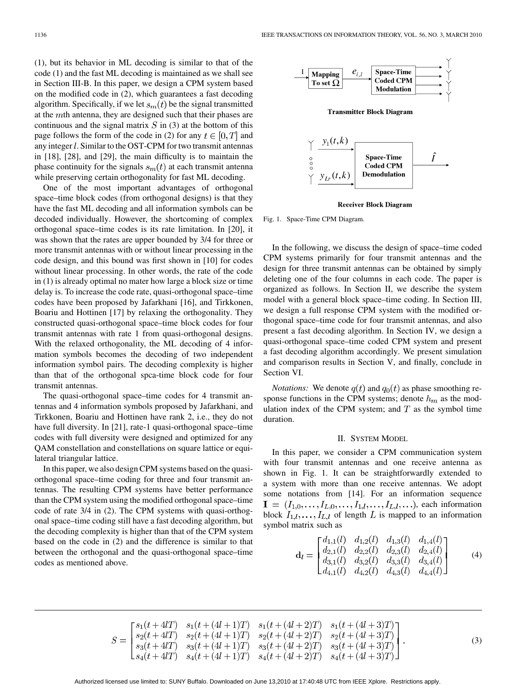(1), but its behavior in ML decoding is similar to that of the code (1) and the fast ML decoding is maintained as we shall see in Section III-B. In this paper, we design a CPM system based on the modified code in (2), which guarantees a fast decoding algorithm. Specifically, if we let  $s_m(t)$  be the signal transmitted at the  $m$ th antenna, they are designed such that their phases are continuous and the signal matrix  $S$  in (3) at the bottom of this page follows the form of the code in (2) for any  $t \in [0, T]$  and any integer  $l$ . Similar to the OST-CPM for two transmit antennas in [18], [28], and [29], the main difficulty is to maintain the phase continuity for the signals  $s_m(t)$  at each transmit antenna while preserving certain orthogonality for fast ML decoding.

One of the most important advantages of orthogonal space–time block codes (from orthogonal designs) is that they have the fast ML decoding and all information symbols can be decoded individually. However, the shortcoming of complex orthogonal space–time codes is its rate limitation. In [20], it was shown that the rates are upper bounded by 3/4 for three or more transmit antennas with or without linear processing in the code design, and this bound was first shown in [10] for codes without linear processing. In other words, the rate of the code in (1) is already optimal no mater how large a block size or time delay is. To increase the code rate, quasi-orthogonal space–time codes have been proposed by Jafarkhani [16], and Tirkkonen, Boariu and Hottinen [17] by relaxing the orthogonality. They constructed quasi-orthogonal space–time block codes for four transmit antennas with rate 1 from quasi-orthogonal designs. With the relaxed orthogonality, the ML decoding of 4 information symbols becomes the decoding of two independent information symbol pairs. The decoding complexity is higher than that of the orthogonal spca-time block code for four transmit antennas.

The quasi-orthogonal space–time codes for 4 transmit antennas and 4 information symbols proposed by Jafarkhani, and Tirkkonen, Boariu and Hottinen have rank 2, i.e., they do not have full diversity. In [21], rate-1 quasi-orthogonal space–time codes with full diversity were designed and optimized for any QAM constellation and constellations on square lattice or equilateral triangular lattice.

In this paper, we also design CPM systems based on the quasiorthogonal space–time coding for three and four transmit antennas. The resulting CPM systems have better performance than the CPM system using the modified orthogonal space–time code of rate 3/4 in (2). The CPM systems with quasi-orthogonal space–time coding still have a fast decoding algorithm, but the decoding complexity is higher than that of the CPM system based on the code in (2) and the difference is similar to that between the orthogonal and the quasi-orthogonal space–time codes as mentioned above.



**Receiver Block Diagram** 

Fig. 1. Space-Time CPM Diagram.

In the following, we discuss the design of space–time coded CPM systems primarily for four transmit antennas and the design for three transmit antennas can be obtained by simply deleting one of the four columns in each code. The paper is organized as follows. In Section II, we describe the system model with a general block space–time coding. In Section III, we design a full response CPM system with the modified orthogonal space–time code for four transmit antennas, and also present a fast decoding algorithm. In Section IV, we design a quasi-orthogonal space–time coded CPM system and present a fast decoding algorithm accordingly. We present simulation and comparison results in Section V, and finally, conclude in Section VI.

*Notations:* We denote  $q(t)$  and  $q_0(t)$  as phase smoothing response functions in the CPM systems; denote  $h_m$  as the modulation index of the CPM system; and  $T$  as the symbol time duration.

#### II. SYSTEM MODEL

In this paper, we consider a CPM communication system with four transmit antennas and one receive antenna as shown in Fig. 1. It can be straightforwardly extended to a system with more than one receive antennas. We adopt some notations from [14]. For an information sequence  $I = (I_{1,0},...,I_{L,0},...,I_{1,l},...,I_{L,l},...)$ , each information block  $I_{1,l}, \ldots, I_{L,l}$  of length L is mapped to an information symbol matrix such as

$$
\mathbf{d}_{l} = \begin{bmatrix} d_{1,1}(l) & d_{1,2}(l) & d_{1,3}(l) & d_{1,4}(l) \\ d_{2,1}(l) & d_{2,2}(l) & d_{2,3}(l) & d_{2,4}(l) \\ d_{3,1}(l) & d_{3,2}(l) & d_{3,3}(l) & d_{3,4}(l) \\ d_{4,1}(l) & d_{4,2}(l) & d_{4,3}(l) & d_{4,4}(l) \end{bmatrix}
$$
(4)

$$
S = \begin{bmatrix} s_1(t+4l) & s_1(t+(4l+1)T) & s_1(t+(4l+2)T) & s_1(t+(4l+3)T) \\ s_2(t+4l) & s_2(t+(4l+1)T) & s_2(t+(4l+2)T) & s_2(t+(4l+3)T) \\ s_3(t+4l) & s_3(t+(4l+1)T) & s_3(t+(4l+2)T) & s_3(t+(4l+3)T) \\ s_4(t+4l) & s_4(t+(4l+1)T) & s_4(t+(4l+2)T) & s_4(t+(4l+3)T) \end{bmatrix}.
$$
 (3)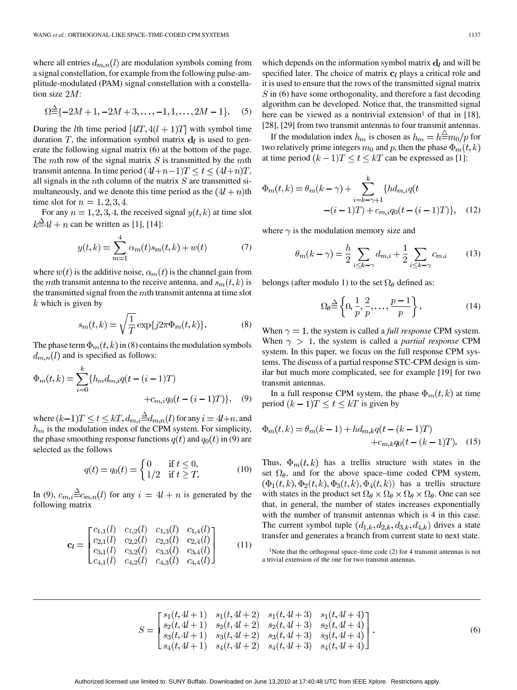where all entries  $d_{m,n}(l)$  are modulation symbols coming from a signal constellation, for example from the following pulse-amplitude-modulated (PAM) signal constellation with a constellation size  $2M$ :

$$
\Omega \triangleq \{-2M+1, -2M+3, \dots, -1, 1, \dots, 2M-1\}.
$$
 (5)

During the *l*th time period  $[4IT, 4(l + 1)T]$  with symbol time duration T, the information symbol matrix  $\mathbf{d}_l$  is used to generate the following signal matrix (6) at the bottom of the page. The mth row of the signal matrix  $S$  is transmitted by the mth transmit antenna. In time period  $(4l+n-1)T \le t \le (4l+n)T$ , all signals in the *n*th column of the matrix  $S$  are transmitted simultaneously, and we denote this time period as the  $(4l + n)$ th time slot for  $n = 1, 2, 3, 4$ .

For any  $n = 1, 2, 3, 4$ , the received signal  $y(t, k)$  at time slot  $k \stackrel{\triangle}{=} 4l + n$  can be written as [1], [14]:

$$
y(t,k) = \sum_{m=1}^{4} \alpha_m(t) s_m(t,k) + w(t)
$$
 (7)

where  $w(t)$  is the additive noise,  $\alpha_m(t)$  is the channel gain from the mth transmit antenna to the receive antenna, and  $s_m(t, k)$  is the transmitted signal from the  $m$ th transmit antenna at time slot  $k$  which is given by

$$
s_m(t,k) = \sqrt{\frac{1}{T}} \exp\{j2\pi\Phi_m(t,k)\}.
$$
 (8)

The phase term  $\Phi_m(t, k)$  in (8) contains the modulation symbols  $d_{m,n}(l)$  and is specified as follows:

$$
\Phi_m(t,k) = \sum_{i=0}^{\kappa} \{ h_m d_{m,i} q(t - (i-1)T) + c_{m,i} q_0(t - (i-1)T) \}, \quad (9)
$$

where  $(k-1)T\leq t\leq kT, d_{m,i}{\triangleq}d_{m,n}(l)$  for any  $i=4l+n,$  and  $h_m$  is the modulation index of the CPM system. For simplicity, the phase smoothing response functions  $q(t)$  and  $q_0(t)$  in (9) are selected as the follows

$$
q(t) = q_0(t) = \begin{cases} 0 & \text{if } t \le 0, \\ 1/2 & \text{if } t \ge T. \end{cases}
$$
 (10)

In (9),  $c_{m,i} \triangleq c_{m,n}(l)$  for any  $i = 4l + n$  is generated by the following matrix

$$
\mathbf{c}_{l} = \begin{bmatrix} c_{1,1}(l) & c_{1,2}(l) & c_{1,3}(l) & c_{1,4}(l) \\ c_{2,1}(l) & c_{2,2}(l) & c_{2,3}(l) & c_{2,4}(l) \\ c_{3,1}(l) & c_{3,2}(l) & c_{3,3}(l) & c_{3,4}(l) \\ c_{4,1}(l) & c_{4,2}(l) & c_{4,3}(l) & c_{4,4}(l) \end{bmatrix}
$$
(11)

which depends on the information symbol matrix  $\mathbf{d}_l$  and will be specified later. The choice of matrix  $c_l$  plays a critical role and it is used to ensure that the rows of the transmitted signal matrix  $\hat{S}$  in (6) have some orthogonality, and therefore a fast decoding algorithm can be developed. Notice that, the transmitted signal here can be viewed as a nontrivial extension<sup>1</sup> of that in [18], [28], [29] from two transmit antennas to four transmit antennas.

If the modulation index  $h_m$  is chosen as  $h_m = h \stackrel{\triangle}{=} m_0 / p$  for two relatively prime integers  $m_0$  and p, then the phase  $\Phi_m(t, k)$ at time period  $(k-1)T \le t \le kT$  can be expressed as [1]:

$$
\Phi_m(t,k) = \theta_m(k-\gamma) + \sum_{i=k-\gamma+1}^k \{hd_{m,i}q(t - (i-1)T) + c_{m,i}q_0(t - (i-1)T)\}, \quad (12)
$$

where  $\gamma$  is the modulation memory size and

$$
\theta_m(k-\gamma) = \frac{h}{2} \sum_{i \le k-\gamma} d_{m,i} + \frac{1}{2} \sum_{i \le k-\gamma} c_{m,i} \tag{13}
$$

belongs (after modulo 1) to the set  $\Omega_{\theta}$  defined as:

$$
\Omega_{\theta} \stackrel{\Delta}{=} \left\{ 0, \frac{1}{p}, \frac{2}{p}, \dots, \frac{p-1}{p} \right\}.
$$
 (14)

When  $\gamma = 1$ , the system is called a *full response* CPM system. When  $\gamma > 1$ , the system is called a *partial response* CPM system. In this paper, we focus on the full response CPM systems. The discuss of a partial response STC-CPM design is similar but much more complicated, see for example [19] for two transmit antennas.

In a full response CPM system, the phase  $\Phi_m(t, k)$  at time period  $(k-1)T \le t \le kT$  is given by

$$
\Phi_m(t,k) = \theta_m(k-1) + hd_{m,k}q(t-(k-1)T)
$$
  
+ $c_{m,k}q_0(t-(k-1)T)$ . (15)

Thus,  $\Phi_m(t,k)$  has a trellis structure with states in the set  $\Omega_{\theta}$ , and for the above space–time coded CPM system,  $(\Phi_1(t,k), \Phi_2(t,k), \Phi_3(t,k), \Phi_4(t,k))$  has a trellis structure with states in the product set  $\Omega_{\theta} \times \Omega_{\theta} \times \Omega_{\theta} \times \Omega_{\theta}$ . One can see that, in general, the number of states increases exponentially with the number of transmit antennas which is 4 in this case. The current symbol tuple  $(d_{1,k}, d_{2,k}, d_{3,k}, d_{4,k})$  drives a state transfer and generates a branch from current state to next state.

1Note that the orthogonal space–time code (2) for 4 transmit antennas is not a trivial extension of the one for two transmit antennas.

$$
S = \begin{bmatrix} s_1(t, 4l + 1) & s_1(t, 4l + 2) & s_1(t, 4l + 3) & s_1(t, 4l + 4) \\ s_2(t, 4l + 1) & s_2(t, 4l + 2) & s_2(t, 4l + 3) & s_2(t, 4l + 4) \\ s_3(t, 4l + 1) & s_3(t, 4l + 2) & s_3(t, 4l + 3) & s_3(t, 4l + 4) \\ s_4(t, 4l + 1) & s_4(t, 4l + 2) & s_4(t, 4l + 3) & s_4(t, 4l + 4) \end{bmatrix}.
$$
 (6)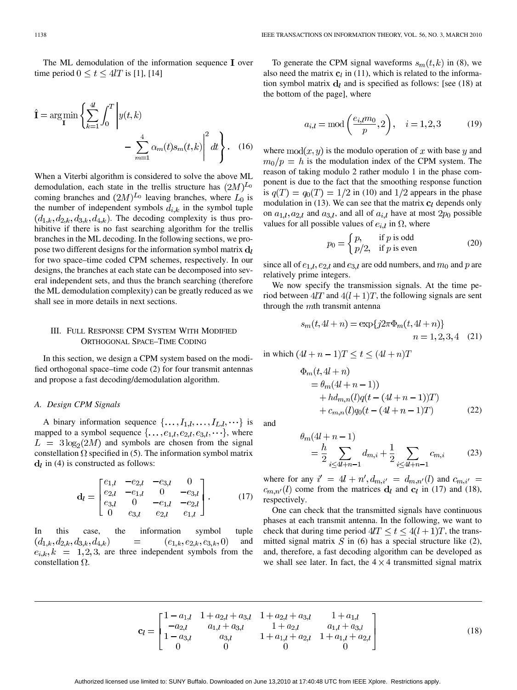The ML demodulation of the information sequence  $I$  over time period  $0 \le t \le 4l$  is [1], [14]

$$
\hat{\mathbf{I}} = \arg\min_{\mathbf{I}} \left\{ \sum_{k=1}^{4l} \int_0^T \left| y(t,k) - \sum_{m=1}^4 \alpha_m(t) s_m(t,k) \right|^2 dt \right\}.
$$
 (16)

When a Viterbi algorithm is considered to solve the above ML demodulation, each state in the trellis structure has  $(2M)^{L_0}$ coming branches and  $(2M)^{L_0}$  leaving branches, where  $L_0$  is the number of independent symbols  $d_{i,k}$  in the symbol tuple  $(d_{1,k}, d_{2,k}, d_{3,k}, d_{4,k})$ . The decoding complexity is thus prohibitive if there is no fast searching algorithm for the trellis branches in the ML decoding. In the following sections, we propose two different designs for the information symbol matrix  $\mathbf{d}_l$ for two space–time coded CPM schemes, respectively. In our designs, the branches at each state can be decomposed into several independent sets, and thus the branch searching (therefore the ML demodulation complexity) can be greatly reduced as we shall see in more details in next sections.

# III. FULL RESPONSE CPM SYSTEM WITH MODIFIED ORTHOGONAL SPACE–TIME CODING

In this section, we design a CPM system based on the modified orthogonal space–time code (2) for four transmit antennas and propose a fast decoding/demodulation algorithm.

## *A. Design CPM Signals*

A binary information sequence  $\{ \ldots, I_{1,l}, \ldots, I_{L,l}, \ldots \}$  is mapped to a symbol sequence  $\{ \ldots, e_{1,l}, e_{2,l}, e_{3,l}, \ldots \}$ , where  $L = 3\log_2(2M)$  and symbols are chosen from the signal constellation  $\Omega$  specified in (5). The information symbol matrix  $\mathbf{d}_l$  in (4) is constructed as follows:

$$
\mathbf{d}_{l} = \begin{bmatrix} e_{1,l} & -e_{2,l} & -e_{3,l} & 0 \\ e_{2,l} & -e_{1,l} & 0 & -e_{3,l} \\ e_{3,l} & 0 & -e_{1,l} & -e_{2,l} \\ 0 & e_{3,l} & e_{2,l} & e_{1,l} \end{bmatrix} .
$$
 (17)

In this case, the information symbol tuple  $(d_{1,k}, d_{2,k}, d_{3,k}, d_{4,k})$  $(e_{1,k},e_{2,k},e_{3,k},0)$ and  $e_{i,k}, k = 1, 2, 3$ , are three independent symbols from the constellation  $\Omega$ .

To generate the CPM signal waveforms  $s_m(t, k)$  in (8), we also need the matrix  $c_l$  in (11), which is related to the information symbol matrix  $\mathbf{d}_l$  and is specified as follows: [see (18) at the bottom of the page], where

$$
a_{i,l} = \text{mod}\left(\frac{e_{i,l}m_0}{p}, 2\right), \quad i = 1, 2, 3
$$
 (19)

where  $mod(x, y)$  is the modulo operation of x with base y and  $m_0/p = h$  is the modulation index of the CPM system. The reason of taking modulo 2 rather modulo 1 in the phase component is due to the fact that the smoothing response function is  $q(T) = q_0(T) = 1/2$  in (10) and 1/2 appears in the phase modulation in (13). We can see that the matrix  $c_l$  depends only on  $a_{1,l}, a_{2,l}$  and  $a_{3,l}$ , and all of  $a_{i,l}$  have at most  $2p_0$  possible values for all possible values of  $e_{i,l}$  in  $\Omega$ , where

$$
p_0 = \begin{cases} p, & \text{if } p \text{ is odd} \\ p/2, & \text{if } p \text{ is even} \end{cases}
$$
 (20)

since all of  $e_{1,l}, e_{2,l}$  and  $e_{3,l}$  are odd numbers, and  $m_0$  and p are relatively prime integers.

We now specify the transmission signals. At the time period between  $4lT$  and  $4(l + 1)T$ , the following signals are sent through the  $m$ th transmit antenna

$$
s_m(t, 4l+n) = \exp\{j2\pi\Phi_m(t, 4l+n)\}\
$$
  

$$
n = 1, 2, 3, 4
$$
 (21)

in which  $(4l + n - 1)T \le t \le (4l + n)T$ 

$$
\Phi_m(t, 4l + n) \n= \theta_m(4l + n - 1) \n+ hd_{m,n}(l)q(t - (4l + n - 1))T \n+ c_{m,n}(l)q_0(t - (4l + n - 1)T)
$$
\n(22)

and

$$
m(4l + n - 1)
$$
  
=  $\frac{h}{2} \sum_{i \le 4l + n - 1} d_{m,i} + \frac{1}{2} \sum_{i \le 4l + n - 1} c_{m,i}$  (23)

where for any  $i' = 4l + n', d_{m,i'} = d_{m,n'}(l)$  and  $c_{m,i'} =$  $c_{m,n'}(l)$  come from the matrices  $d_l$  and  $c_l$  in (17) and (18), respectively.

One can check that the transmitted signals have continuous phases at each transmit antenna. In the following, we want to check that during time period  $4lT \le t \le 4(l+1)T$ , the transmitted signal matrix  $S$  in (6) has a special structure like (2), and, therefore, a fast decoding algorithm can be developed as we shall see later. In fact, the  $4 \times 4$  transmitted signal matrix

$$
\mathbf{c}_{l} = \begin{bmatrix} 1 - a_{1,l} & 1 + a_{2,l} + a_{3,l} & 1 + a_{2,l} + a_{3,l} & 1 + a_{1,l} \\ -a_{2,l} & a_{1,l} + a_{3,l} & 1 + a_{2,l} & a_{1,l} + a_{3,l} \\ 1 - a_{3,l} & a_{3,l} & 1 + a_{1,l} + a_{2,l} & 1 + a_{1,l} + a_{2,l} \\ 0 & 0 & 0 & 0 \end{bmatrix}
$$
(18)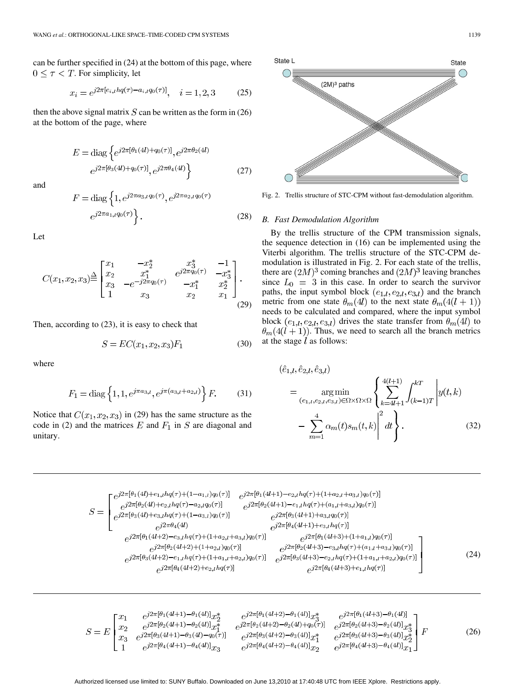can be further specified in (24) at the bottom of this page, where  $0 \leq \tau < T$ . For simplicity, let

$$
x_i = e^{j2\pi[e_{i,l}hq(\tau) - a_{i,l}q_0(\tau)]}, \quad i = 1, 2, 3 \tag{25}
$$

then the above signal matrix  $S$  can be written as the form in (26) at the bottom of the page, where

$$
E = \text{diag}\left\{e^{j2\pi[\theta_1(4l) + q_0(\tau)]}, e^{j2\pi\theta_2(4l)}\right\}
$$

$$
e^{j2\pi[\theta_3(4l) + q_0(\tau)]}, e^{j2\pi\theta_4(4l)}\right\}
$$
(27)

and

$$
F = \text{diag}\left\{1, e^{j2\pi a_{3,l}q_0(\tau)}, e^{j2\pi a_{2,l}q_0(\tau)}\right\}.
$$
\n
$$
e^{j2\pi a_{1,l}q_0(\tau)}.
$$
\n(28)

Let

$$
C(x_1, x_2, x_3) \stackrel{\triangle}{=} \begin{bmatrix} x_1 & -x_2^* & x_3^* & -1 \\ x_2 & x_1^* & e^{j2\pi q_0(\tau)} & -x_2^* \\ x_3 & -e^{-j2\pi q_0(\tau)} & -x_1^* & x_2^* \\ 1 & x_3 & x_2 & x_1 \end{bmatrix} . \tag{29}
$$

Then, according to (23), it is easy to check that

$$
S = EC(x_1, x_2, x_3)F_1
$$
 (30)

where

$$
F_1 = \text{diag}\left\{1, 1, e^{j\pi a_{3,l}}, e^{j\pi(a_{3,l} + a_{2,l})}\right\} F. \tag{31}
$$

Notice that  $C(x_1, x_2, x_3)$  in (29) has the same structure as the code in (2) and the matrices E and  $F_1$  in S are diagonal and unitary.



Fig. 2. Trellis structure of STC-CPM without fast-demodulation algorithm.

## *B. Fast Demodulation Algorithm*

By the trellis structure of the CPM transmission signals, the sequence detection in (16) can be implemented using the Viterbi algorithm. The trellis structure of the STC-CPM demodulation is illustrated in Fig. 2. For each state of the trellis, there are  $(2M)^3$  coming branches and  $(2M)^3$  leaving branches since  $L_0 = 3$  in this case. In order to search the survivor paths, the input symbol block  $(e_{1,l}, e_{2,l}, e_{3,l})$  and the branch metric from one state  $\theta_m(4l)$  to the next state  $\theta_m(4(l + 1))$ needs to be calculated and compared, where the input symbol block  $(e_{1,l}, e_{2,l}, e_{3,l})$  drives the state transfer from  $\theta_m(4l)$  to  $\theta_m(4(l+1))$ . Thus, we need to search all the branch metrics at the stage  $l$  as follows:

$$
(\hat{e}_{1,l}, \hat{e}_{2,l}, \hat{e}_{3,l})
$$
\n
$$
= \underset{(e_{1,l}, e_{2,l}, e_{3,l}) \in \Omega \times \Omega \times \Omega}{\arg \min} \left\{ \sum_{k=4l+1}^{4(l+1)} \int_{(k-1)T}^{kT} \left| y(t, k) - \sum_{m=1}^{4} \alpha_m(t) s_m(t, k) \right|^2 dt \right\}. \tag{32}
$$

$$
S = \begin{bmatrix} e^{j2\pi[\theta_{1}(4l) + e_{1,l}hq(\tau) + (1 - a_{1,l})q_{0}(\tau)]} & e^{j2\pi[\theta_{1}(4l+1) - e_{2,l}hq(\tau) + (1 + a_{2,l} + a_{3,l})q_{0}(\tau)]} \\ e^{j2\pi[\theta_{2}(4l) + e_{2,l}hq(\tau) - a_{2,l}q_{0}(\tau)]} & e^{j2\pi[\theta_{2}(4l+1) - e_{1,l}hq(\tau) + (a_{1,l} + a_{3,l})q_{0}(\tau)]} \\ e^{j2\pi[\theta_{3}(4l) + e_{3,l}hq(\tau) + (1 - a_{3,l})q_{0}(\tau)]} & e^{j2\pi[\theta_{3}(4l+1) + a_{3,l}q_{0}(\tau)]} \\ e^{j2\pi[\theta_{1}(4l+2) - e_{3,l}hq(\tau) + (1 + a_{2,l} + a_{3,l})q_{0}(\tau)]} & e^{j2\pi[\theta_{1}(4l+3) + (1 + a_{1,l})q_{0}(\tau)]} \\ e^{j2\pi[\theta_{2}(4l+2) + (1 + a_{2,l})q_{0}(\tau)]} & e^{j2\pi[\theta_{2}(4l+3) - e_{3,l}hq(\tau) + (a_{1,l} + a_{3,l})q_{0}(\tau)]} \\ e^{j2\pi[\theta_{3}(4l+2) - e_{1,l}hq(\tau) + (1 + a_{1,l} + a_{2,l})q_{0}(\tau)]} & e^{j2\pi[\theta_{3}(4l+3) - e_{2,l}hq(\tau) + (1 + a_{1,l} + a_{2,l})q_{0}(\tau)]} \\ e^{j2\pi[\theta_{3}(4l+2) + e_{2,l}hq(\tau)]} & e^{j2\pi[\theta_{3}(4l+3) - e_{2,l}hq(\tau) + (1 + a_{1,l} + a_{2,l})q_{0}(\tau)]} \end{bmatrix}
$$
(24)

$$
S = E \begin{bmatrix} x_1 & e^{j2\pi[\theta_1(4l+1) - \theta_1(4l)]} x_2^* & e^{j2\pi[\theta_1(4l+2) - \theta_1(4l)]} x_3^* & e^{j2\pi[\theta_1(4l+3) - \theta_1(4l)]} \\ x_2 & e^{j2\pi[\theta_2(4l+1) - \theta_2(4l)]} x_1^* & e^{j2\pi[\theta_2(4l+2) - \theta_2(4l) + q_0(\tau)]} & e^{j2\pi[\theta_2(4l+3) - \theta_2(4l)]} x_3^* \\ x_3 & e^{j2\pi[\theta_3(4l+1) - \theta_3(4l) - q_0(\tau)]} & e^{j2\pi[\theta_3(4l+2) - \theta_3(4l)]} x_1^* & e^{j2\pi[\theta_3(4l+3) - \theta_3(4l)]} x_2^* \\ 1 & e^{j2\pi[\theta_4(4l+1) - \theta_4(4l)]} x_3 & e^{j2\pi[\theta_4(4l+2) - \theta_4(4l)]} x_2 & e^{j2\pi[\theta_4(4l+3) - \theta_4(4l)]} x_1 \end{bmatrix} F
$$
(26)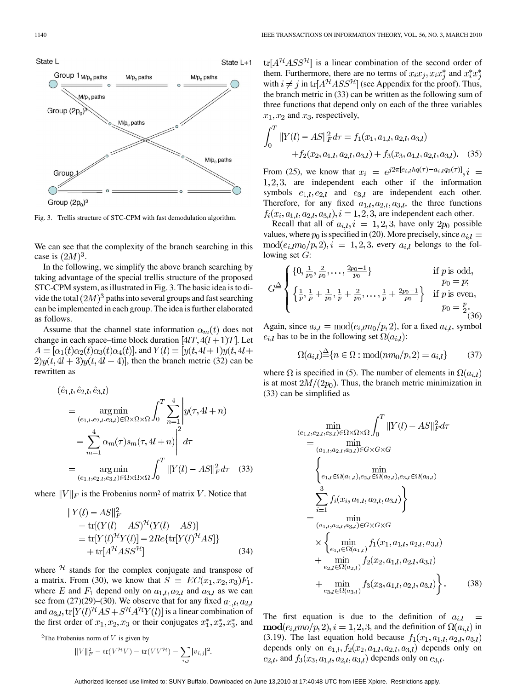

Fig. 3. Trellis structure of STC-CPM with fast demodulation algorithm.

We can see that the complexity of the branch searching in this case is  $(2M)^3$ .

In the following, we simplify the above branch searching by taking advantage of the special trellis structure of the proposed STC-CPM system, as illustrated in Fig. 3. The basic idea is to divide the total  $(2M)^3$  paths into several groups and fast searching can be implemented in each group. The idea is further elaborated as follows.

Assume that the channel state information  $\alpha_m(t)$  does not change in each space–time block duration  $[4IT, 4(l+1)T]$ . Let  $A = [\alpha_1(t)\alpha_2(t)\alpha_3(t)\alpha_4(t)]$ , and  $Y(l) = [y(t, 4l+1)y(t, 4l+1)]$  $2)y(t, 4l + 3)y(t, 4l + 4)$ , then the branch metric (32) can be rewritten as

$$
(\hat{e}_{1,l}, \hat{e}_{2,l}, \hat{e}_{3,l})
$$
  
= 
$$
\underset{(e_{1,l}, e_{2,l}, e_{3,l}) \in \Omega \times \Omega \times \Omega}{\arg \min} \int_{0}^{T} \sum_{n=1}^{4} \left| y(\tau, 4l + n) - \sum_{m=1}^{4} \alpha_m(\tau) s_m(\tau, 4l + n) \right|^2 d\tau
$$
  
= 
$$
\underset{(e_{1,l}, e_{2,l}, e_{3,l}) \in \Omega \times \Omega \times \Omega}{\arg \min} \int_{0}^{T} ||Y(l) - AS||_{F}^{2} d\tau
$$
(33)

where  $||V||_F$  is the Frobenius norm<sup>2</sup> of matrix V. Notice that

$$
|Y(l) - AS||_F^2
$$
  
= tr[(Y(l) - AS)<sup>7t</sup>(Y(l) - AS)]  
= tr[Y(l)<sup>7t</sup>Y(l)] - 2Re{tr[Y(l)<sup>7t</sup> AS]}  
+ tr[A<sup>7t</sup> ASS<sup>7t</sup>] (34)

where  $\mathcal{H}$  stands for the complex conjugate and transpose of a matrix. From (30), we know that  $S = EC(x_1, x_2, x_3)F_1$ , where E and  $F_1$  depend only on  $a_{1,l}, a_{2,l}$  and  $a_{3,l}$  as we can see from  $(27)(29)$ – $(30)$ . We observe that for any fixed  $a_{1,l}, a_{2,l}$ and  $a_{3,l}$ ,  $\text{tr}[Y(l)^{\mathcal{H}}AS + S^{\mathcal{H}}A^{\mathcal{H}}Y(l)]$  is a linear combination of the first order of  $x_1, x_2, x_3$  or their conjugates  $x_1^*, x_2^*, x_3^*$ , and

<sup>2</sup>The Frobenius norm of  $V$  is given by

$$
||V||_F^2 = \text{tr}(V^{\mathcal{H}}V) = \text{tr}(VV^{\mathcal{H}}) = \sum_{i,j} |v_{i,j}|^2.
$$

 $tr[A^{\mathcal{H}}ASS^{\mathcal{H}}]$  is a linear combination of the second order of them. Furthermore, there are no terms of  $x_i x_j, x_i x_j^*$  and  $x_i^* x_j^*$ with  $i \neq j$  in  $\text{tr}[A^{\mathcal{H}}ASS^{\mathcal{H}}]$  (see Appendix for the proof). Thus, the branch metric in (33) can be written as the following sum of three functions that depend only on each of the three variables  $x_1, x_2$  and  $x_3$ , respectively,

$$
\int_0^T ||Y(l) - AS||_F^2 d\tau = f_1(x_1, a_{1,l}, a_{2,l}, a_{3,l}) + f_2(x_2, a_{1,l}, a_{2,l}, a_{3,l}) + f_3(x_3, a_{1,l}, a_{2,l}, a_{3,l}).
$$
 (35)

From (25), we know that  $x_i = e^{j2\pi [e_{i,l}hq(\tau)-a_{i,l}q_0(\tau)]}, i =$  $1, 2, 3$ , are independent each other if the information symbols  $e_{1,l}, e_{2,l}$  and  $e_{3,l}$  are independent each other. Therefore, for any fixed  $a_{1,l}, a_{2,l}, a_{3,l}$ , the three functions  $f_i(x_i, a_{1,l}, a_{2,l}, a_{3,l}), i = 1, 2, 3$ , are independent each other.

Recall that all of  $a_{i,l}$ ,  $i = 1, 2, 3$ , have only  $2p_0$  possible values, where  $p_0$  is specified in (20). More precisely, since  $a_{i,l} =$  $mod(e_{i,l}m_0/p, 2), i = 1, 2, 3$ , every  $a_{i,l}$  belongs to the following set  $G$ :

$$
G \stackrel{\triangle}{=} \begin{cases} \{0, \frac{1}{p_0}, \frac{2}{p_0}, \dots, \frac{2p_0 - 1}{p_0}\} & \text{if } p \text{ is odd,} \\ \left\{\frac{1}{p}, \frac{1}{p} + \frac{1}{p_0}, \frac{1}{p} + \frac{2}{p_0}, \dots, \frac{1}{p} + \frac{2p_0 - 1}{p_0}\right\} & \text{if } p \text{ is even,} \\ p_0 = \frac{p}{2} \\ (36) \end{cases}
$$

Again, since  $a_{i,l} = \text{mod}(e_{i,l}m_0/p, 2)$ , for a fixed  $a_{i,l}$ , symbol  $e_{i,l}$  has to be in the following set  $\Omega(a_{i,l})$ :

$$
\Omega(a_{i,l}) \triangleq \{ n \in \Omega : \text{mod}(nm_0/p, 2) = a_{i,l} \} \tag{37}
$$

where  $\Omega$  is specified in (5). The number of elements in  $\Omega(a_{i,l})$ is at most  $2M/(2p_0)$ . Thus, the branch metric minimization in (33) can be simplified as

$$
\min_{(e_{1,l}, e_{2,l}, e_{3,l}) \in \Omega \times \Omega \times \Omega} \int_{0}^{T} ||Y(l) - AS||_{F}^{2} d\tau
$$
\n
$$
= \min_{(a_{1,l}, a_{2,l}, a_{3,l}) \in G \times G \times G}
$$
\n
$$
\left\{ \min_{e_{1,l} \in \Omega(a_{1,l}), e_{2,l} \in \Omega(a_{2,l}), e_{3,l} \in \Omega(a_{3,l})} \sum_{i=1}^{3} f_{i}(x_{i}, a_{1,l}, a_{2,l}, a_{3,l}) \right\}
$$
\n
$$
= \min_{(a_{1,l}, a_{2,l}, a_{3,l}) \in G \times G \times G}
$$
\n
$$
\times \left\{ \min_{e_{1,l} \in \Omega(a_{1,l})} f_{1}(x_{1}, a_{1,l}, a_{2,l}, a_{3,l}) + \min_{e_{2,l} \in \Omega(a_{2,l})} f_{2}(x_{2}, a_{1,l}, a_{2,l}, a_{3,l}) \right\} + \min_{e_{3,l} \in \Omega(a_{3,l})} f_{3}(x_{3}, a_{1,l}, a_{2,l}, a_{3,l}) \right\}.
$$
\n(38)

The first equation is due to the definition of  $a_{i,l}$  =  $\text{mod}(e_{i,l}mo/p, 2), i = 1, 2, 3$ , and the definition of  $\Omega(a_{i,l})$  in (3.19). The last equation hold because  $f_1(x_1, a_{1,l}, a_{2,l}, a_{3,l})$ depends only on  $e_{1,l}$ ,  $f_2(x_2, a_{1,l}, a_{2,l}, a_{3,l})$  depends only on  $e_{2,l}$ , and  $f_3(x_3, a_{1,l}, a_{2,l}, a_{3,l})$  depends only on  $e_{3,l}$ .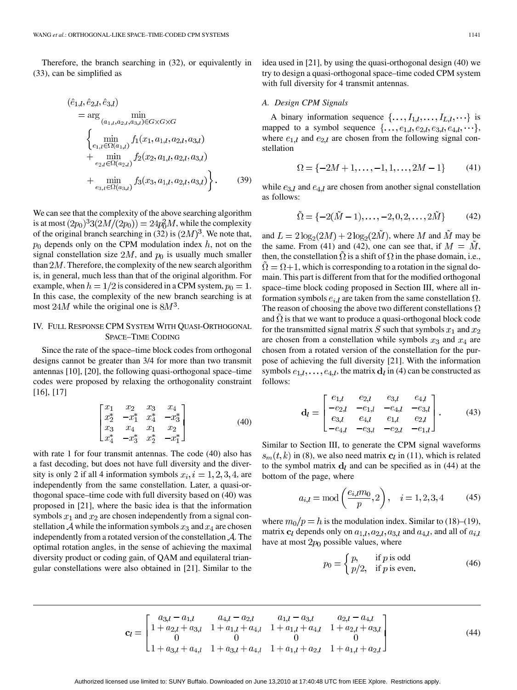Therefore, the branch searching in (32), or equivalently in (33), can be simplified as

$$
(\hat{e}_{1,l}, \hat{e}_{2,l}, \hat{e}_{3,l})
$$
\n
$$
= \arg \min_{(a_{1,l}, a_{2,l}, a_{3,l}) \in G \times G \times G}
$$
\n
$$
\begin{cases}\n\min_{e_{1,l} \in \Omega(a_{1,l})} f_1(x_1, a_{1,l}, a_{2,l}, a_{3,l})\n+ \min_{e_{2,l} \in \Omega(a_{2,l})} f_2(x_2, a_{1,l}, a_{2,l}, a_{3,l})\n+ \min_{e_{3,l} \in \Omega(a_{3,l})} f_3(x_3, a_{1,l}, a_{2,l}, a_{3,l})\n\end{cases}
$$
\n(39)

We can see that the complexity of the above searching algorithm is at most  $(2p_0)^3 3(2M/(2p_0)) = 24p_0^2 M$ , while the complexity of the original branch searching in (32) is  $(2M)^3$ . We note that,  $p_0$  depends only on the CPM modulation index  $h$ , not on the signal constellation size  $2M$ , and  $p_0$  is usually much smaller than  $2M$ . Therefore, the complexity of the new search algorithm is, in general, much less than that of the original algorithm. For example, when  $h = 1/2$  is considered in a CPM system,  $p_0 = 1$ . In this case, the complexity of the new branch searching is at most  $24M$  while the original one is  $8M^3$ .

# IV. FULL RESPONSE CPM SYSTEM WITH QUASI-ORTHOGONAL SPACE–TIME CODING

Since the rate of the space–time block codes from orthogonal designs cannot be greater than 3/4 for more than two transmit antennas [10], [20], the following quasi-orthogonal space–time codes were proposed by relaxing the orthogonality constraint [16], [17]

$$
\begin{bmatrix} x_1 & x_2 & x_3 & x_4 \ x_2^* & -x_1^* & x_4^* & -x_3^* \ x_3 & x_4 & x_1 & x_2 \ x_4^* & -x_3^* & x_2^* & -x_1^* \end{bmatrix}
$$
 (40)

with rate 1 for four transmit antennas. The code (40) also has a fast decoding, but does not have full diversity and the diversity is only 2 if all 4 information symbols  $x_i$ ,  $i = 1, 2, 3, 4$ , are independently from the same constellation. Later, a quasi-orthogonal space–time code with full diversity based on (40) was proposed in [21], where the basic idea is that the information symbols  $x_1$  and  $x_2$  are chosen independently from a signal constellation A while the information symbols  $x_3$  and  $x_4$  are chosen independently from a rotated version of the constellation  $A$ . The optimal rotation angles, in the sense of achieving the maximal diversity product or coding gain, of QAM and equilateral triangular constellations were also obtained in [21]. Similar to the idea used in [21], by using the quasi-orthogonal design (40) we try to design a quasi-orthogonal space–time coded CPM system with full diversity for 4 transmit antennas.

## *A. Design CPM Signals*

A binary information sequence  $\{ \ldots, I_{1,l}, \ldots, I_{L,l}, \ldots \}$  is mapped to a symbol sequence  $\{\ldots, e_{1,l}, e_{2,l}, e_{3,l}, e_{4,l}, \ldots\},\$ where  $e_{1,l}$  and  $e_{2,l}$  are chosen from the following signal constellation

$$
\Omega = \{-2M + 1, \dots, -1, 1, \dots, 2M - 1\} \tag{41}
$$

while  $e_{3,l}$  and  $e_{4,l}$  are chosen from another signal constellation as follows:

$$
\tilde{\Omega} = \{-2(\tilde{M} - 1), \dots, -2, 0, 2, \dots, 2\tilde{M}\}
$$
 (42)

and  $L = 2\log_2(2M) + 2\log_2(2\tilde{M})$ , where M and  $\tilde{M}$  may be the same. From (41) and (42), one can see that, if  $M = M$ , then, the constellation  $\Omega$  is a shift of  $\Omega$  in the phase domain, i.e.,  $\Omega = \Omega + 1$ , which is corresponding to a rotation in the signal domain. This part is different from that for the modified orthogonal space–time block coding proposed in Section III, where all information symbols  $e_{i,l}$  are taken from the same constellation  $\Omega$ . The reason of choosing the above two different constellations  $\Omega$ and  $\Omega$  is that we want to produce a quasi-orthogonal block code for the transmitted signal matrix  $S$  such that symbols  $x_1$  and  $x_2$ are chosen from a constellation while symbols  $x_3$  and  $x_4$  are chosen from a rotated version of the constellation for the purpose of achieving the full diversity [21]. With the information symbols  $e_{1,l}, \ldots, e_{4,l}$ , the matrix  $d_l$  in (4) can be constructed as follows:

$$
\mathbf{d}_{l} = \begin{bmatrix} e_{1,l} & e_{2,l} & e_{3,l} & e_{4,l} \\ -e_{2,l} & -e_{1,l} & -e_{4,l} & -e_{3,l} \\ e_{3,l} & e_{4,l} & e_{1,l} & e_{2,l} \\ -e_{4,l} & -e_{3,l} & -e_{2,l} & -e_{1,l} \end{bmatrix} . \tag{43}
$$

Similar to Section III, to generate the CPM signal waveforms  $s_m(t, k)$  in (8), we also need matrix  $\mathbf{c}_l$  in (11), which is related to the symbol matrix  $\mathbf{d}_l$  and can be specified as in (44) at the bottom of the page, where

$$
a_{i,l} = \text{mod}\left(\frac{e_{i,l}m_0}{p}, 2\right), \quad i = 1, 2, 3, 4 \tag{45}
$$

where  $m_0/p = h$  is the modulation index. Similar to (18)–(19), matrix  $c_l$  depends only on  $a_{1,l}, a_{2,l}, a_{3,l}$  and  $a_{4,l}$ , and all of  $a_{i,l}$ have at most  $2p_0$  possible values, where

$$
p_0 = \begin{cases} p, & \text{if } p \text{ is odd} \\ p/2, & \text{if } p \text{ is even.} \end{cases}
$$
 (46)

$$
\mathbf{c}_{l} = \begin{bmatrix} a_{3,l} - a_{1,l} & a_{4,l} - a_{2,l} & a_{1,l} - a_{3,l} & a_{2,l} - a_{4,l} \\ 1 + a_{2,l} + a_{3,l} & 1 + a_{1,l} + a_{4,l} & 1 + a_{1,l} + a_{4,l} & 1 + a_{2,l} + a_{3,l} \\ 0 & 0 & 0 & 0 \\ 1 + a_{3,l} + a_{4,l} & 1 + a_{3,l} + a_{4,l} & 1 + a_{1,l} + a_{2,l} & 1 + a_{1,l} + a_{2,l} \end{bmatrix}
$$
(44)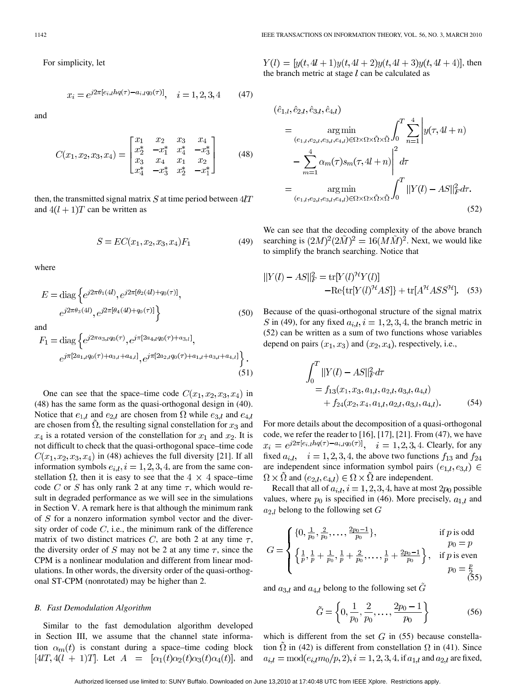For simplicity, let

$$
x_i = e^{j2\pi[e_{i,l}hq(\tau) - a_{i,l}q_0(\tau)]}, \quad i = 1, 2, 3, 4 \tag{47}
$$

and

$$
C(x_1, x_2, x_3, x_4) = \begin{bmatrix} x_1 & x_2 & x_3 & x_4 \\ x_2^* & -x_1^* & x_4^* & -x_3^* \\ x_3 & x_4 & x_1 & x_2 \\ x_4^* & -x_3^* & x_2^* & -x_1^* \end{bmatrix}
$$
 (48)

then, the transmitted signal matrix  $S$  at time period between  $4/T$ and  $4(l + 1)T$  can be written as

$$
S = EC(x_1, x_2, x_3, x_4)F_1
$$
\n(49)

where

$$
E = \text{diag}\left\{e^{j2\pi\theta_1(4l)}, e^{j2\pi[\theta_2(4l) + q_0(\tau)]}, e^{j2\pi\theta_3(4l)}, e^{j2\pi[\theta_4(4l) + q_0(\tau)]}\right\}
$$
(50)

and

$$
F_1 = \text{diag}\left\{e^{j2\pi a_{3,l}q_0(\tau)}, e^{j\pi[2a_{4,l}q_0(\tau)+a_{3,l}]},\right.e^{j\pi[2a_{1,l}q_0(\tau)+a_{3,l}+a_{4,l}]}, e^{j\pi[2a_{2,l}q_0(\tau)+a_{1,l}+a_{3,l}+a_{4,l}]}\right\}.
$$
\n(51)

One can see that the space–time code  $C(x_1, x_2, x_3, x_4)$  in (48) has the same form as the quasi-orthogonal design in (40). Notice that  $e_{1,l}$  and  $e_{2,l}$  are chosen from  $\Omega$  while  $e_{3,l}$  and  $e_{4,l}$ are chosen from  $\Omega$ , the resulting signal constellation for  $x_3$  and  $x_4$  is a rotated version of the constellation for  $x_1$  and  $x_2$ . It is not difficult to check that the quasi-orthogonal space–time code  $C(x_1, x_2, x_3, x_4)$  in (48) achieves the full diversity [21]. If all information symbols  $e_{i,l}$ ,  $i = 1, 2, 3, 4$ , are from the same constellation  $\Omega$ , then it is easy to see that the  $4 \times 4$  space–time code C or S has only rank 2 at any time  $\tau$ , which would result in degraded performance as we will see in the simulations in Section V. A remark here is that although the minimum rank of  $S$  for a nonzero information symbol vector and the diversity order of code  $C$ , i.e., the minimum rank of the difference matrix of two distinct matrices C, are both 2 at any time  $\tau$ , the diversity order of S may not be 2 at any time  $\tau$ , since the CPM is a nonlinear modulation and different from linear modulations. In other words, the diversity order of the quasi-orthogonal ST-CPM (nonrotated) may be higher than 2.

## *B. Fast Demodulation Algorithm*

Similar to the fast demodulation algorithm developed in Section III, we assume that the channel state information  $\alpha_m(t)$  is constant during a space–time coding block  $[4lT, 4(l + 1)T]$ . Let  $A = [\alpha_1(t)\alpha_2(t)\alpha_3(t)\alpha_4(t)]$ , and  $Y(l) = [y(t, 4l + 1)y(t, 4l + 2)y(t, 4l + 3)y(t, 4l + 4)]$ , then the branch metric at stage  $l$  can be calculated as

$$
(\hat{e}_{1,l}, \hat{e}_{2,l}, \hat{e}_{3,l}, \hat{e}_{4,l})
$$
\n
$$
= \underset{(e_{1,l}, e_{2,l}, e_{3,l}, e_{4,l}) \in \Omega \times \Omega \times \tilde{\Omega} \times \tilde{\Omega}}{\arg \min} \int_{0}^{T} \sum_{n=1}^{4} \left| y(\tau, 4l + n) - \sum_{m=1}^{4} \alpha_m(\tau) s_m(\tau, 4l + n) \right|^2 d\tau
$$
\n
$$
= \underset{(e_{1,l}, e_{2,l}, e_{3,l}, e_{4,l}) \in \Omega \times \Omega \times \tilde{\Omega} \times \tilde{\Omega}}{\arg \min} \int_{0}^{T} ||Y(l) - AS||_{F}^{2} d\tau.
$$
\n(52)

We can see that the decoding complexity of the above branch searching is  $(2M)^2(2\tilde{M})^2 = 16(M\tilde{M})^2$ . Next, we would like to simplify the branch searching. Notice that

$$
||Y(l) - AS||_F^2 = \text{tr}[Y(l)^{\mathcal{H}}Y(l)]
$$

$$
- \text{Re}\{\text{tr}[Y(l)^{\mathcal{H}}AS]\} + \text{tr}[A^{\mathcal{H}}ASS^{\mathcal{H}}]. \quad (53)
$$

Because of the quasi-orthogonal structure of the signal matrix S in (49), for any fixed  $a_{i,l}$ ,  $i = 1, 2, 3, 4$ , the branch metric in (52) can be written as a sum of two functions whose variables depend on pairs  $(x_1, x_3)$  and  $(x_2, x_4)$ , respectively, i.e.,

$$
\int_{0}^{T} ||Y(l) - AS||_{F}^{2} d\tau
$$
\n
$$
= f_{13}(x_{1}, x_{3}, a_{1,l}, a_{2,l}, a_{3,l}, a_{4,l})
$$
\n
$$
+ f_{24}(x_{2}, x_{4}, a_{1,l}, a_{2,l}, a_{3,l}, a_{4,l}). \tag{54}
$$

For more details about the decomposition of a quasi-orthogonal code, we refer the reader to [16], [17], [21]. From (47), we have  $x_i = e^{j2\pi[e_{i,l}hq(\tau)-a_{i,l}q_0(\tau)]}, \quad i = 1, 2, 3, 4.$  Clearly, for any fixed  $a_{i,l}$ ,  $i = 1, 2, 3, 4$ , the above two functions  $f_{13}$  and  $f_{24}$ are independent since information symbol pairs  $(e_{1,l}, e_{3,l}) \in$  $\Omega \times \overline{\Omega}$  and  $(e_{2,l}, e_{4,l}) \in \Omega \times \overline{\Omega}$  are independent.

Recall that all of  $a_{i,l}$ ,  $i = 1, 2, 3, 4$ , have at most  $2p_0$  possible values, where  $p_0$  is specified in (46). More precisely,  $a_{1,l}$  and  $a_{2,l}$  belong to the following set  $G$ 

$$
G = \begin{cases} \{0, \frac{1}{p_0}, \frac{2}{p_0}, \dots, \frac{2p_0 - 1}{p_0}\}, & \text{if } p \text{ is odd} \\ \left\{\frac{1}{p}, \frac{1}{p} + \frac{1}{p_0}, \frac{1}{p} + \frac{2}{p_0}, \dots, \frac{1}{p} + \frac{2p_0 - 1}{p_0}\right\}, & \text{if } p \text{ is even} \\ p_0 = \frac{p}{\sqrt{5}}, & \text{if } p \text{ is even} \end{cases}
$$

and  $a_{3,l}$  and  $a_{4,l}$  belong to the following set  $\tilde{G}$ 

$$
\tilde{G} = \left\{0, \frac{1}{p_0}, \frac{2}{p_0}, \dots, \frac{2p_0 - 1}{p_0}\right\}
$$
\n(56)

which is different from the set  $G$  in (55) because constellation  $\tilde{\Omega}$  in (42) is different from constellation  $\Omega$  in (41). Since  $a_{i,l} = \text{mod}(e_{i,l}m_0/p, 2), i = 1, 2, 3, 4$ , if  $a_{1,l}$  and  $a_{2,l}$  are fixed,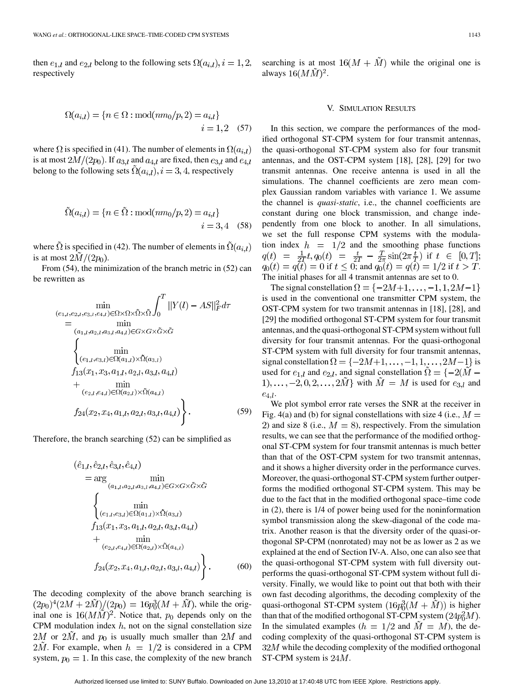then  $e_{1,l}$  and  $e_{2,l}$  belong to the following sets  $\Omega(a_{i,l}), i = 1, 2,$ respectively

$$
\Omega(a_{i,l}) = \{ n \in \Omega : \text{mod}(nm_0/p, 2) = a_{i,l} \}
$$
  
 $i = 1, 2$  (57)

where  $\Omega$  is specified in (41). The number of elements in  $\Omega(a_{i,l})$ is at most  $2M/(2p_0)$ . If  $a_{3,l}$  and  $a_{4,l}$  are fixed, then  $e_{3,l}$  and  $e_{4,l}$ belong to the following sets  $\Omega(a_{i,l}), i = 3, 4$ , respectively

$$
\tilde{\Omega}(a_{i,l}) = \{ n \in \tilde{\Omega} : \text{mod}(nm_0/p, 2) = a_{i,l} \}
$$
  
  $i = 3, 4$  (58)

where  $\tilde{\Omega}$  is specified in (42). The number of elements in  $\tilde{\Omega}(a_{i,l})$ is at most  $2\tilde{M}/(2p_0)$ .

From (54), the minimization of the branch metric in (52) can be rewritten as

$$
\min_{(e_{1,l}, e_{2,l}, e_{3,l}, e_{4,l}) \in \Omega \times \Omega \times \tilde{\Omega} \times \tilde{\Omega}} \int_{0}^{T} ||Y(l) - AS||_{F}^{2} d\tau
$$
\n
$$
= \min_{(a_{1,l}, a_{2,l}, a_{3,l}, a_{4,l}) \in G \times G \times \tilde{G} \times \tilde{G}}
$$
\n
$$
\begin{cases}\n\min_{(e_{1,l}, e_{3,l}) \in \Omega(a_{1,l}) \times \tilde{\Omega}(a_{3,l})} \\
f_{13}(x_{1}, x_{3}, a_{1,l}, a_{2,l}, a_{3,l}, a_{4,l}) \\
+ \min_{(e_{2,l}, e_{4,l}) \in \Omega(a_{2,l}) \times \tilde{\Omega}(a_{4,l})} \\
f_{24}(x_{2}, x_{4}, a_{1,l}, a_{2,l}, a_{3,l}, a_{4,l})\n\end{cases}
$$
\n(59)

Therefore, the branch searching (52) can be simplified as

$$
(\hat{e}_{1,l}, \hat{e}_{2,l}, \hat{e}_{3,l}, \hat{e}_{4,l})
$$
\n
$$
= \arg \min_{(a_{1,l}, a_{2,l}, a_{3,l}, a_{4,l}) \in G \times G \times \tilde{G} \times \tilde{G}}
$$
\n
$$
\begin{cases}\n\min \\
(\sum_{(e_{1,l}, e_{3,l}) \in \Omega(a_{1,l}) \times \tilde{\Omega}(a_{3,l})} f_{13}(x_1, x_3, a_{1,l}, a_{2,l}, a_{3,l}, a_{4,l}) + \min \\
(e_{2,l}, e_{4,l}) \in \Omega(a_{2,l}) \times \tilde{\Omega}(a_{4,l})\n\end{cases}
$$
\n
$$
f_{24}(x_2, x_4, a_{1,l}, a_{2,l}, a_{3,l}, a_{4,l}) \qquad (60)
$$

The decoding complexity of the above branch searching is  $(2p_0)^4(2M+2M)/(2p_0) = 16p_0^3(M+M)$ , while the original one is  $16(M\tilde{M})^2$ . Notice that,  $p_0$  depends only on the CPM modulation index  $h$ , not on the signal constellation size 2M or 2M, and  $p_0$  is usually much smaller than 2M and  $2\tilde{M}$ . For example, when  $h = 1/2$  is considered in a CPM system,  $p_0 = 1$ . In this case, the complexity of the new branch

#### V. SIMULATION RESULTS

In this section, we compare the performances of the modified orthogonal ST-CPM system for four transmit antennas, the quasi-orthogonal ST-CPM system also for four transmit antennas, and the OST-CPM system [18], [28], [29] for two transmit antennas. One receive antenna is used in all the simulations. The channel coefficients are zero mean complex Gaussian random variables with variance 1. We assume the channel is *quasi-static*, i.e., the channel coefficients are constant during one block transmission, and change independently from one block to another. In all simulations, we set the full response CPM systems with the modulation index  $h = 1/2$  and the smoothing phase functions if if  $t \leq 0$ ; and  $q_0(t) = q(t) = 1/2$  if  $t > T$ . The initial phases for all 4 transmit antennas are set to 0.

The signal constellation  $\Omega = \{-2M+1, \ldots, -1, 1, 2M-1\}$ is used in the conventional one transmitter CPM system, the OST-CPM system for two transmit antennas in [18], [28], and [29] the modified orthogonal ST-CPM system for four transmit antennas, and the quasi-orthogonal ST-CPM system without full diversity for four transmit antennas. For the quasi-orthogonal ST-CPM system with full diversity for four transmit antennas, signal constellation  $\Omega = \{-2M+1, \ldots, -1, 1, \ldots, 2M-1\}$  is used for  $e_{1,l}$  and  $e_{2,l}$ , and signal constellation  $\Omega = \{-2(M - \mathcal{E}_{1,l})\}$  $1), \ldots, -2, 0, 2, \ldots, 2\tilde{M}$  with  $\tilde{M} = M$  is used for  $e_{3,l}$  and  $e_{4,l}$ .

We plot symbol error rate verses the SNR at the receiver in Fig. 4(a) and (b) for signal constellations with size 4 (i.e.,  $M =$ 2) and size 8 (i.e.,  $M = 8$ ), respectively. From the simulation results, we can see that the performance of the modified orthogonal ST-CPM system for four transmit antennas is much better than that of the OST-CPM system for two transmit antennas, and it shows a higher diversity order in the performance curves. Moreover, the quasi-orthogonal ST-CPM system further outperforms the modified orthogonal ST-CPM system. This may be due to the fact that in the modified orthogonal space–time code in (2), there is 1/4 of power being used for the noninformation symbol transmission along the skew-diagonal of the code matrix. Another reason is that the diversity order of the quasi-orthogonal SP-CPM (nonrotated) may not be as lower as 2 as we explained at the end of Section IV-A. Also, one can also see that the quasi-orthogonal ST-CPM system with full diversity outperforms the quasi-orthogonal ST-CPM system without full diversity. Finally, we would like to point out that both with their own fast decoding algorithms, the decoding complexity of the quasi-orthogonal ST-CPM system  $(16p_0^3(M + \tilde{M}))$  is higher than that of the modified orthogonal ST-CPM system  $(24p_0^2M)$ . In the simulated examples ( $h = 1/2$  and  $M = M$ ), the decoding complexity of the quasi-orthogonal ST-CPM system is  $32M$  while the decoding complexity of the modified orthogonal ST-CPM system is  $24M$ .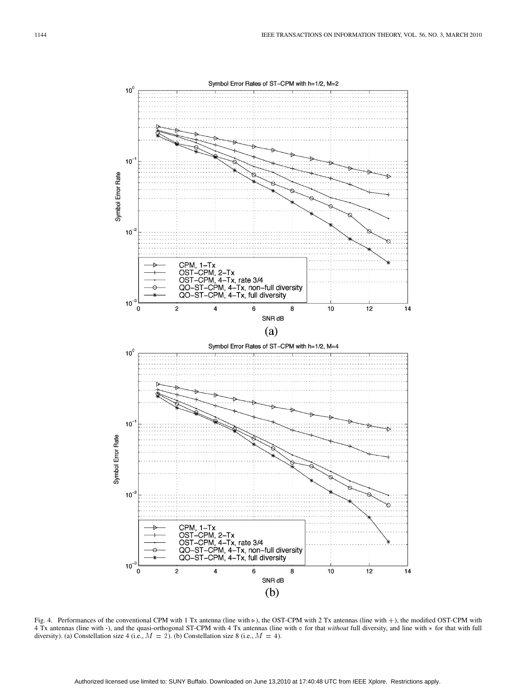

Fig. 4. Performances of the conventional CPM with 1 Tx antenna (line with  $\rho$ ), the OST-CPM with 2 Tx antennas (line with +), the modified OST-CPM with 4 Tx antennas (line with ·), and the quasi-orthogonal ST-CPM with 4 Tx antennas (line with  $\circ$  for that *without* full diversity, and line with  $*$  for that with full diversity). (a) Constellation size 4 (i.e.,  $M = 2$ ). (b) Constellation size 8 (i.e.,  $M = 4$ ).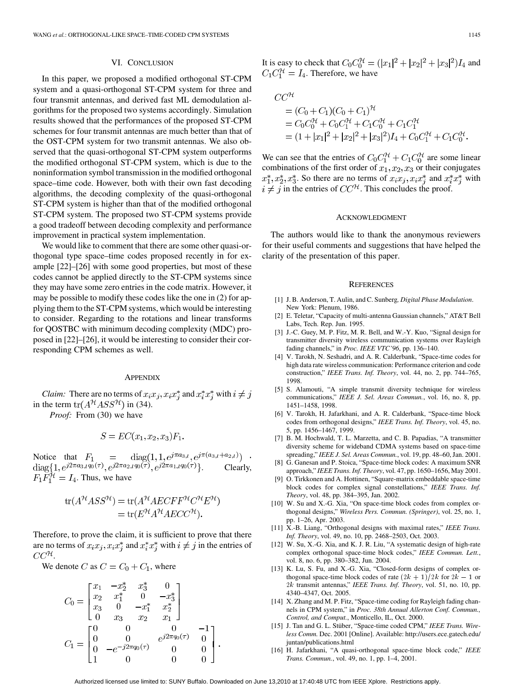## VI. CONCLUSION

In this paper, we proposed a modified orthogonal ST-CPM system and a quasi-orthogonal ST-CPM system for three and four transmit antennas, and derived fast ML demodulation algorithms for the proposed two systems accordingly. Simulation results showed that the performances of the proposed ST-CPM schemes for four transmit antennas are much better than that of the OST-CPM system for two transmit antennas. We also observed that the quasi-orthogonal ST-CPM system outperforms the modified orthogonal ST-CPM system, which is due to the noninformation symbol transmission in the modified orthogonal space–time code. However, both with their own fast decoding algorithms, the decoding complexity of the quasi-orthogonal ST-CPM system is higher than that of the modified orthogonal ST-CPM system. The proposed two ST-CPM systems provide a good tradeoff between decoding complexity and performance improvement in practical system implementation.

We would like to comment that there are some other quasi-orthogonal type space–time codes proposed recently in for example [22]–[26] with some good properties, but most of these codes cannot be applied directly to the ST-CPM systems since they may have some zero entries in the code matrix. However, it may be possible to modify these codes like the one in (2) for applying them to the ST-CPM systems, which would be interesting to consider. Regarding to the rotations and linear transforms for QOSTBC with minimum decoding complexity (MDC) proposed in [22]–[26], it would be interesting to consider their corresponding CPM schemes as well.

## **APPENDIX**

*Claim:* There are no terms of  $x_i x_j, x_i x_j^*$  and  $x_i^* x_j^*$  with  $i \neq j$ in the term  $tr(A^{\mathcal{H}}ASS^{\mathcal{H}})$  in (34).

*Proof:* From (30) we have

$$
S = EC(x_1, x_2, x_3)F_1.
$$

Notice that  $F_1 = \text{diag}(1, 1, e^{j\pi a_{3,l}}, e^{j\pi(a_{3,l} + a_{2,l})}) \cdot \text{diag}\{1, e^{j2\pi a_{3,l}q_0(\tau)}, e^{j2\pi a_{2,l}q_0(\tau)}, e^{j2\pi a_{1,l}q_0(\tau)}\}.$  Clearly, . Clearly,  $F_1F_1^{\mathcal{H}}=I_4$ . Thus, we have

$$
tr(A^{\mathcal{H}}ASS^{\mathcal{H}}) = tr(A^{\mathcal{H}}AECFF^{\mathcal{H}}C^{\mathcal{H}}E^{\mathcal{H}})
$$
  
= tr(E^{\mathcal{H}}A^{\mathcal{H}}AECC^{\mathcal{H}}).

Therefore, to prove the claim, it is sufficient to prove that there are no terms of  $x_i x_j, x_i x_j^*$  and  $x_i^* x_j^*$  with  $i \neq j$  in the entries of  $CC^{\mathcal{H}}$ .

We denote C as  $C = C_0 + C_1$ , where

$$
C_0 = \begin{bmatrix} x_1 & -x_2^* & x_3^* & 0 \\ x_2 & x_1^* & 0 & -x_3^* \\ x_3 & 0 & -x_1^* & x_2^* \\ 0 & x_3 & x_2 & x_1 \end{bmatrix}
$$
  
\n
$$
C_1 = \begin{bmatrix} 0 & 0 & 0 & -1 \\ 0 & 0 & e^{j2\pi q_0(\tau)} & 0 \\ 0 & -e^{-j2\pi q_0(\tau)} & 0 & 0 \\ 1 & 0 & 0 & 0 \end{bmatrix}.
$$

It is easy to check that  $C_0 C_0^{\prime\prime} = (|x_1|^2 + |x_2|^2 + |x_3|^2) I_4$  and . Therefore, we have

$$
CC^{\mathcal{H}}
$$
  
=  $(C_0 + C_1)(C_0 + C_1)^{\mathcal{H}}$   
=  $C_0C_0^{\mathcal{H}} + C_0C_1^{\mathcal{H}} + C_1C_0^{\mathcal{H}} + C_1C_1^{\mathcal{H}}$   
=  $(1 + |x_1|^2 + |x_2|^2 + |x_3|^2)I_4 + C_0C_1^{\mathcal{H}} + C_1C_0^{\mathcal{H}}$ .

We can see that the entries of  $C_0 C_1^{\mathcal{H}} + C_1 C_0^{\mathcal{H}}$  are some linear combinations of the first order of  $x_1, x_2, x_3$  or their conjugates . So there are no terms of  $x_i x_j, x_i x_j^*$  and  $x_i^* x_j^*$  with in the entries of  $CC^{H}$ . This concludes the proof.

#### ACKNOWLEDGMENT

The authors would like to thank the anonymous reviewers for their useful comments and suggestions that have helped the clarity of the presentation of this paper.

#### **REFERENCES**

- [1] J. B. Anderson, T. Aulin, and C. Sunberg*, Digital Phase Modulation*. New York: Plenum, 1986.
- [2] E. Teletar, "Capacity of multi-antenna Gaussian channels," AT&T Bell Labs, Tech. Rep. Jun. 1995.
- [3] J.-C. Guey, M. P. Fitz, M. R. Bell, and W.-Y. Kuo, "Signal design for transmitter diversity wireless communication systems over Rayleigh fading channels," in *Proc. IEEE VTC'96*, pp. 136–140.
- [4] V. Tarokh, N. Seshadri, and A. R. Calderbank, "Space-time codes for high data rate wireless communication: Performance criterion and code construction," *IEEE Trans. Inf. Theory*, vol. 44, no. 2, pp. 744–765, 1998.
- [5] S. Alamouti, "A simple transmit diversity technique for wireless communications," *IEEE J. Sel. Areas Commun.*, vol. 16, no. 8, pp. 1451–1458, 1998.
- [6] V. Tarokh, H. Jafarkhani, and A. R. Calderbank, "Space-time block codes from orthogonal designs," *IEEE Trans. Inf. Theory*, vol. 45, no. 5, pp. 1456–1467, 1999.
- [7] B. M. Hochwald, T. L. Marzetta, and C. B. Papadias, "A transmitter diversity scheme for wideband CDMA systems based on space-time spreading," *IEEE J. Sel. Areas Commun.*, vol. 19, pp. 48–60, Jan. 2001.
- [8] G. Ganesan and P. Stoica, "Space-time block codes: A maximum SNR approach," *IEEE Trans. Inf. Theory*, vol. 47, pp. 1650–1656, May 2001.
- [9] O. Tirkkonen and A. Hottinen, "Square-matrix embeddable space-time block codes for complex signal constellations," *IEEE Trans. Inf. Theory*, vol. 48, pp. 384–395, Jan. 2002.
- [10] W. Su and X.-G. Xia, "On space-time block codes from complex orthogonal designs," *Wireless Pers. Commun. (Springer)*, vol. 25, no. 1, pp. 1–26, Apr. 2003.
- [11] X.-B. Liang, "Orthogonal designs with maximal rates," *IEEE Trans. Inf. Theory*, vol. 49, no. 10, pp. 2468–2503, Oct. 2003.
- [12] W. Su, X.-G. Xia, and K. J. R. Liu, "A systematic design of high-rate complex orthogonal space-time block codes," *IEEE Commun. Lett.*, vol. 8, no. 6, pp. 380–382, Jun. 2004. *un. Lett.*,<br>nplex or-<br>*k* – 1 or
- [13] K. Lu, S. Fu, and X.-G. Xia, "Closed-form designs of complex orthogonal space-time block codes of rate  $\frac{2k+1}{2k}$  for 2 2k transmit antennas," *IEEE Trans. Inf. Theory*, vol. 51, no. 10, pp. 4340–4347, Oct. 2005.
- [14] X. Zhang and M. P. Fitz, "Space-time coding for Rayleigh fading channels in CPM system," in *Proc. 38th Annual Allerton Conf. Commun., Control, and Comput.*, Monticello, IL, Oct. 2000.
- [15] J. Tan and G. L. Stüber, "Space-time coded CPM," *IEEE Trans. Wireless Comm.* Dec. 2001 [Online]. Available: http://users.ece.gatech.edu/ juntan/publications.html
- [16] H. Jafarkhani, "A quasi-orthogonal space-time block code," *IEEE Trans. Commun.*, vol. 49, no. 1, pp. 1–4, 2001.